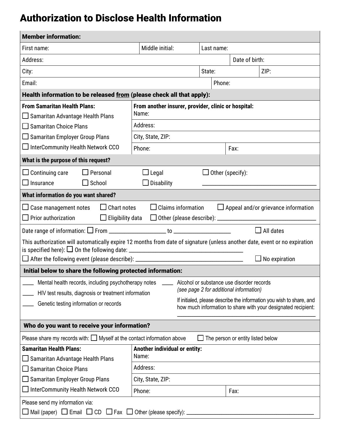# Authorization to Disclose Health Information

| <b>Member information:</b>                                                                                                                                                                                                                                                           |                                                     |  |            |                |                  |  |
|--------------------------------------------------------------------------------------------------------------------------------------------------------------------------------------------------------------------------------------------------------------------------------------|-----------------------------------------------------|--|------------|----------------|------------------|--|
| First name:                                                                                                                                                                                                                                                                          | Middle initial:                                     |  | Last name: |                |                  |  |
| Address:                                                                                                                                                                                                                                                                             |                                                     |  |            | Date of birth: |                  |  |
| City:                                                                                                                                                                                                                                                                                |                                                     |  | State:     |                | ZIP:             |  |
| Email:                                                                                                                                                                                                                                                                               | Phone:                                              |  |            |                |                  |  |
| Health information to be released from (please check all that apply):                                                                                                                                                                                                                |                                                     |  |            |                |                  |  |
| <b>From Samaritan Health Plans:</b>                                                                                                                                                                                                                                                  | From another insurer, provider, clinic or hospital: |  |            |                |                  |  |
| $\Box$ Samaritan Advantage Health Plans                                                                                                                                                                                                                                              | Name:                                               |  |            |                |                  |  |
| $\Box$ Samaritan Choice Plans                                                                                                                                                                                                                                                        | Address:                                            |  |            |                |                  |  |
| □ Samaritan Employer Group Plans                                                                                                                                                                                                                                                     | City, State, ZIP:                                   |  |            |                |                  |  |
| InterCommunity Health Network CCO                                                                                                                                                                                                                                                    | Phone:<br>Fax:                                      |  |            |                |                  |  |
| What is the purpose of this request?                                                                                                                                                                                                                                                 |                                                     |  |            |                |                  |  |
| $\Box$ Continuing care<br>$\Box$ Personal                                                                                                                                                                                                                                            | $\Box$ Other (specify):<br>$\bigsqcup$ Legal        |  |            |                |                  |  |
| $\Box$ Insurance<br>$\square$ School                                                                                                                                                                                                                                                 | Disability                                          |  |            |                |                  |  |
| What information do you want shared?                                                                                                                                                                                                                                                 |                                                     |  |            |                |                  |  |
| Case management notes<br>$\Box$ Chart notes<br><b>Claims information</b><br>$\Box$ Appeal and/or grievance information                                                                                                                                                               |                                                     |  |            |                |                  |  |
| Prior authorization<br>$\Box$ Eligibility data                                                                                                                                                                                                                                       |                                                     |  |            |                |                  |  |
| Date range of information: $\Box$ From $\Box$ = $\Box$ = $\Box$ = $\Box$ = $\Box$ = $\Box$ = $\Box$ = $\Box$ = $\Box$ = $\Box$ = $\Box$ = $\Box$ = $\Box$ = $\Box$ = $\Box$ = $\Box$ = $\Box$ = $\Box$ = $\Box$ = $\Box$ = $\Box$ = $\Box$ = $\Box$ = $\Box$ = $\Box$ = $\Box$ = $\$ |                                                     |  |            |                | $\Box$ All dates |  |
| This authorization will automatically expire 12 months from date of signature (unless another date, event or no expiration                                                                                                                                                           |                                                     |  |            |                |                  |  |
| $\Box$ No expiration                                                                                                                                                                                                                                                                 |                                                     |  |            |                |                  |  |
| Initial below to share the following protected information:                                                                                                                                                                                                                          |                                                     |  |            |                |                  |  |
|                                                                                                                                                                                                                                                                                      |                                                     |  |            |                |                  |  |
| Mental health records, including psychotherapy notes<br>Alcohol or substance use disorder records<br>(see page 2 for additional information)                                                                                                                                         |                                                     |  |            |                |                  |  |
| HIV test results, diagnosis or treatment information<br>If initialed, please describe the information you wish to share, and<br>Genetic testing information or records                                                                                                               |                                                     |  |            |                |                  |  |
| how much information to share with your designated recipient:                                                                                                                                                                                                                        |                                                     |  |            |                |                  |  |
| Who do you want to receive your information?                                                                                                                                                                                                                                         |                                                     |  |            |                |                  |  |
| Please share my records with: $\Box$ Myself at the contact information above<br>$\Box$ The person or entity listed below                                                                                                                                                             |                                                     |  |            |                |                  |  |
| <b>Samaritan Health Plans:</b><br>Another individual or entity:                                                                                                                                                                                                                      |                                                     |  |            |                |                  |  |
| $\Box$ Samaritan Advantage Health Plans                                                                                                                                                                                                                                              | Name:                                               |  |            |                |                  |  |
| $\Box$ Samaritan Choice Plans                                                                                                                                                                                                                                                        | Address:                                            |  |            |                |                  |  |
| $\Box$ Samaritan Employer Group Plans                                                                                                                                                                                                                                                | City, State, ZIP:                                   |  |            |                |                  |  |
| $\Box$ InterCommunity Health Network CCO                                                                                                                                                                                                                                             | Phone:<br>Fax:                                      |  |            |                |                  |  |
| Please send my information via:                                                                                                                                                                                                                                                      |                                                     |  |            |                |                  |  |
| Mail (paper) $\Box$ Email $\Box$ CD $\Box$ Fax $\Box$ Other (please specify):                                                                                                                                                                                                        |                                                     |  |            |                |                  |  |